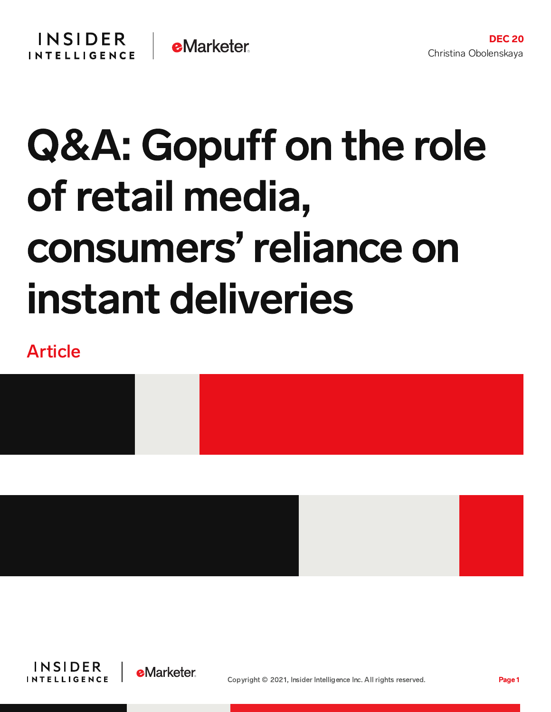# Q&A: Gopuff on the role of retail media, consumers'reliance on instant deliveries

# Article





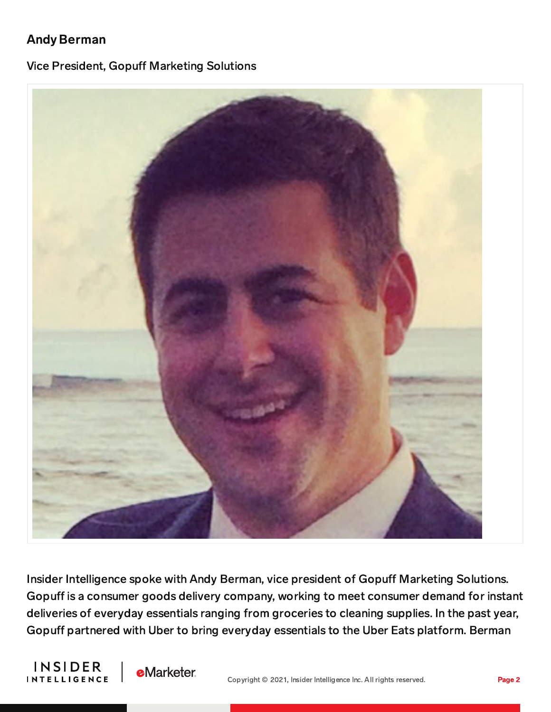# Andy Berman

#### Vice President, Gopuff Marketing Solutions



Insider Intelligence spoke with Andy Berman, vice president of Gopuff Marketing Solutions. Gopuff is a consumer goods delivery company, working to meet consumer demand for instant deliveries of everyday essentials ranging from groceries to cleaning supplies. In the past year, Gopuff partnered with Uber to bring everyday essentials to the Uber Eats platform. Berman



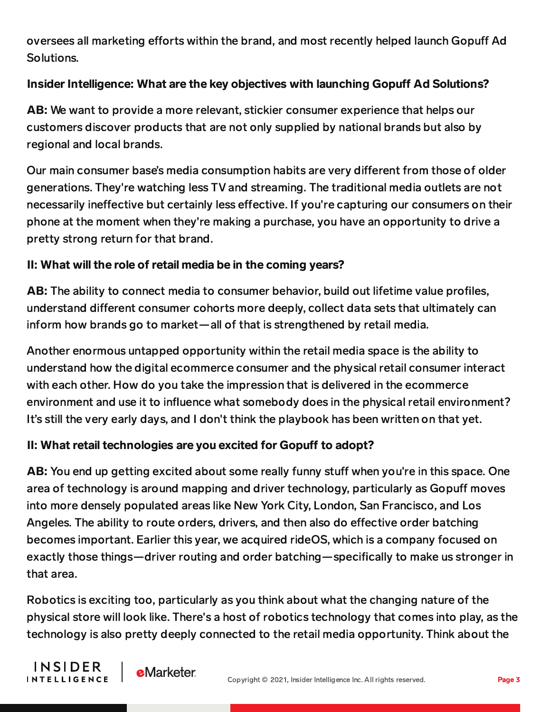oversees all marketing efforts within the brand, and most recently helped launch Gopuff Ad Solutions.

# Insider Intelligence: What are the key objectives with launching Gopuff Ad Solutions?

AB: We want to provide a more relevant, stickier consumer experience that helps our customers discover products that are not only supplied by national brands but also by regional and local brands.

Our main consumer base's media consumption habits are very different from those of older generations. They're watching less TV and streaming. The traditional media outlets are not necessarily ineffective but certainly less effective. If you're capturing our consumers on their phone at the moment when they're making a purchase, you have an opportunity to drive a pretty strong return for that brand.

## II: What will the role of retail media be in the coming years?

AB: The ability to connect media to consumer behavior, build out lifetime value profiles, understand different consumer cohorts more deeply, collect data sets that ultimately can inform how brands go to market—all of that is strengthened by retail media.

Another enormous untapped opportunity within the retail media space is the ability to understand how the digital ecommerce consumer and the physical retail consumer interact with each other. How do you take the impression that is delivered in the ecommerce environment and use it to influence what somebody does in the physical retail environment? It's still the very early days, and I don't think the playbook has been written on that yet.

## II: What retail technologies are you excited for Gopuff to adopt?

AB: You end up getting excited about some really funny stuff when you're in this space. One area of technology is around mapping and driver technology, particularly as Gopuff moves into more densely populated areas like New York City, London, San Francisco, and Los Angeles. The ability to route orders, drivers, and then also do effective order batching becomes important. Earlier this year, we acquired rideOS, which is a company focused on exactly those things—driver routing and order batching—specifically to make us stronger in that area.

Robotics is exciting too, particularly as you think about what the changing nature of the physical store will look like. There's a host of robotics technology that comes into play, as the technology is also pretty deeply connected to the retail media opportunity. Think about the